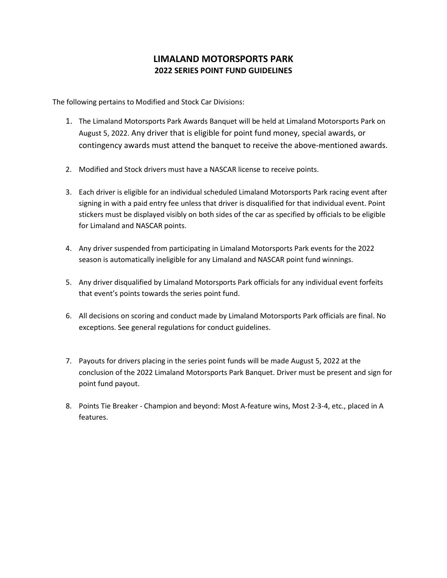## **LIMALAND MOTORSPORTS PARK 2022 SERIES POINT FUND GUIDELINES**

The following pertains to Modified and Stock Car Divisions:

- 1. The Limaland Motorsports Park Awards Banquet will be held at Limaland Motorsports Park on August 5, 2022. Any driver that is eligible for point fund money, special awards, or contingency awards must attend the banquet to receive the above-mentioned awards.
- 2. Modified and Stock drivers must have a NASCAR license to receive points.
- 3. Each driver is eligible for an individual scheduled Limaland Motorsports Park racing event after signing in with a paid entry fee unless that driver is disqualified for that individual event. Point stickers must be displayed visibly on both sides of the car as specified by officials to be eligible for Limaland and NASCAR points.
- 4. Any driver suspended from participating in Limaland Motorsports Park events for the 2022 season is automatically ineligible for any Limaland and NASCAR point fund winnings.
- 5. Any driver disqualified by Limaland Motorsports Park officials for any individual event forfeits that event's points towards the series point fund.
- 6. All decisions on scoring and conduct made by Limaland Motorsports Park officials are final. No exceptions. See general regulations for conduct guidelines.
- 7. Payouts for drivers placing in the series point funds will be made August 5, 2022 at the conclusion of the 2022 Limaland Motorsports Park Banquet. Driver must be present and sign for point fund payout.
- 8. Points Tie Breaker Champion and beyond: Most A-feature wins, Most 2-3-4, etc., placed in A features.